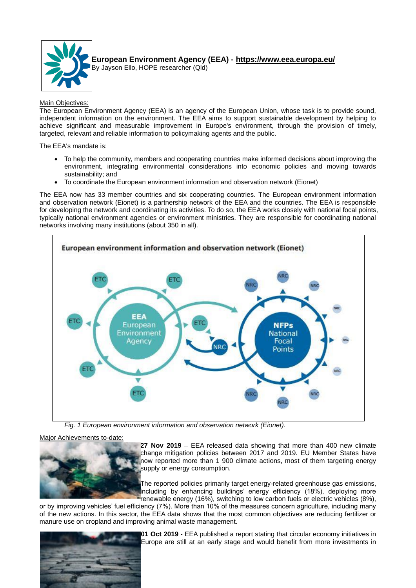

**European Environment Agency (EEA) - https://www.eea.europa.eu/** By Jayson Ello, HOPE researcher (Qld)

Main Objectives:

The European Environment Agency (EEA) is an agency of the European Union, whose task is to provide sound, independent information on the environment. The EEA aims to support sustainable development by helping to achieve significant and measurable improvement in Europe's environment, through the provision of timely, targeted, relevant and reliable information to policymaking agents and the public.

The EEA's mandate is:

- To help the community, members and cooperating countries make informed decisions about improving the environment, integrating environmental considerations into economic policies and moving towards sustainability; and
- To coordinate the European environment information and observation network (Eionet)

The EEA now has 33 member countries and six cooperating countries. The European environment information and observation network (Eionet) is a partnership network of the EEA and the countries. The EEA is responsible for developing the network and coordinating its activities. To do so, the EEA works closely with national focal points, typically national environment agencies or environment ministries. They are responsible for coordinating national networks involving many institutions (about 350 in all).



*Fig. 1 European environment information and observation network (Eionet).*

Major Achievements to-date:



**27 Nov 2019** – EEA released data showing that more than 400 new climate change mitigation policies between 2017 and 2019. EU Member States have now reported more than 1 900 climate actions, most of them targeting energy supply or energy consumption.

The reported policies primarily target energy-related greenhouse gas emissions, including by enhancing buildings' energy efficiency (18%), deploying more renewable energy (16%), switching to low carbon fuels or electric vehicles (8%),

or by improving vehicles' fuel efficiency (7%). More than 10% of the measures concern agriculture, including many of the new actions. In this sector, the EEA data shows that the most common objectives are reducing fertilizer or manure use on cropland and improving animal waste management.



**01 Oct 2019** - EEA published a report stating that circular economy initiatives in Europe are still at an early stage and would benefit from more investments in